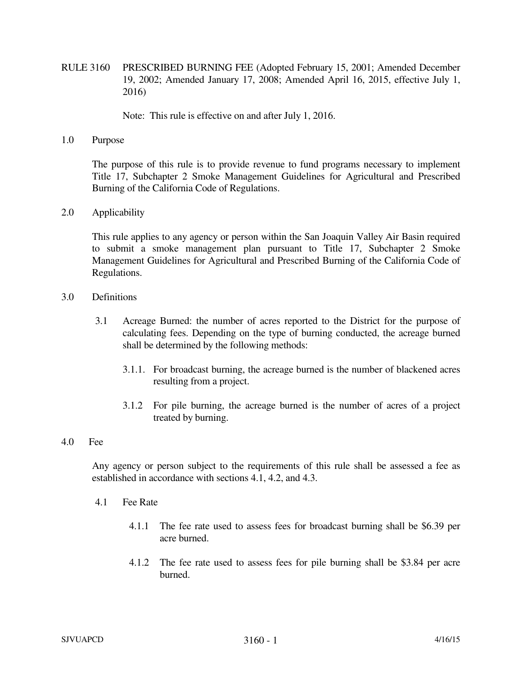RULE 3160 PRESCRIBED BURNING FEE (Adopted February 15, 2001; Amended December 19, 2002; Amended January 17, 2008; Amended April 16, 2015, effective July 1, 2016)

Note: This rule is effective on and after July 1, 2016.

1.0 Purpose

The purpose of this rule is to provide revenue to fund programs necessary to implement Title 17, Subchapter 2 Smoke Management Guidelines for Agricultural and Prescribed Burning of the California Code of Regulations.

2.0 Applicability

 This rule applies to any agency or person within the San Joaquin Valley Air Basin required to submit a smoke management plan pursuant to Title 17, Subchapter 2 Smoke Management Guidelines for Agricultural and Prescribed Burning of the California Code of Regulations.

- 3.0 Definitions
	- 3.1 Acreage Burned: the number of acres reported to the District for the purpose of calculating fees. Depending on the type of burning conducted, the acreage burned shall be determined by the following methods:
		- 3.1.1. For broadcast burning, the acreage burned is the number of blackened acres resulting from a project.
		- 3.1.2 For pile burning, the acreage burned is the number of acres of a project treated by burning.
- 4.0 Fee

 Any agency or person subject to the requirements of this rule shall be assessed a fee as established in accordance with sections 4.1, 4.2, and 4.3.

- 4.1 Fee Rate
	- 4.1.1 The fee rate used to assess fees for broadcast burning shall be \$6.39 per acre burned.
	- 4.1.2 The fee rate used to assess fees for pile burning shall be \$3.84 per acre burned.